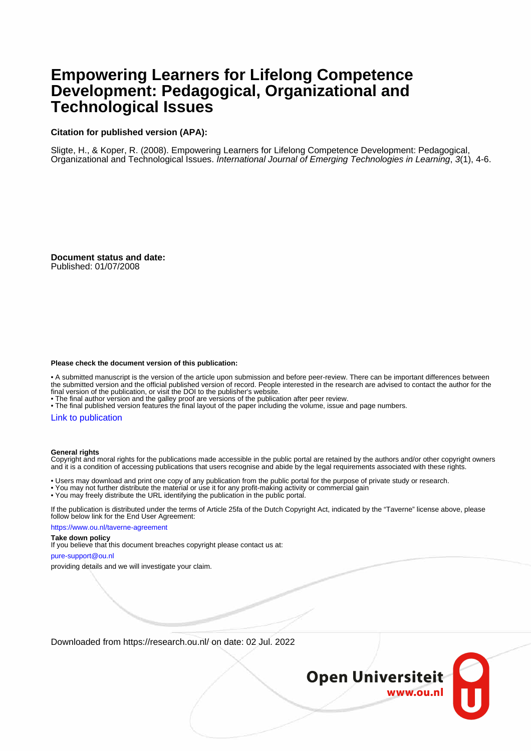# **Empowering Learners for Lifelong Competence Development: Pedagogical, Organizational and Technological Issues**

# **Citation for published version (APA):**

Sligte, H., & Koper, R. (2008). Empowering Learners for Lifelong Competence Development: Pedagogical, Organizational and Technological Issues. International Journal of Emerging Technologies in Learning, 3(1), 4-6.

**Document status and date:**

Published: 01/07/2008

### **Please check the document version of this publication:**

• A submitted manuscript is the version of the article upon submission and before peer-review. There can be important differences between the submitted version and the official published version of record. People interested in the research are advised to contact the author for the final version of the publication, or visit the DOI to the publisher's website.

• The final author version and the galley proof are versions of the publication after peer review.

• The final published version features the final layout of the paper including the volume, issue and page numbers.

# [Link to publication](https://research.ou.nl/en/publications/04a18879-a64d-4975-ac03-6bf887fbe20c)

#### **General rights**

Copyright and moral rights for the publications made accessible in the public portal are retained by the authors and/or other copyright owners and it is a condition of accessing publications that users recognise and abide by the legal requirements associated with these rights.

• Users may download and print one copy of any publication from the public portal for the purpose of private study or research.

- You may not further distribute the material or use it for any profit-making activity or commercial gain
- You may freely distribute the URL identifying the publication in the public portal.

If the publication is distributed under the terms of Article 25fa of the Dutch Copyright Act, indicated by the "Taverne" license above, please follow below link for the End User Agreement:

https://www.ou.nl/taverne-agreement

#### **Take down policy**

If you believe that this document breaches copyright please contact us at:

pure-support@ou.nl

providing details and we will investigate your claim.

Downloaded from https://research.ou.nl/ on date: 02 Jul. 2022

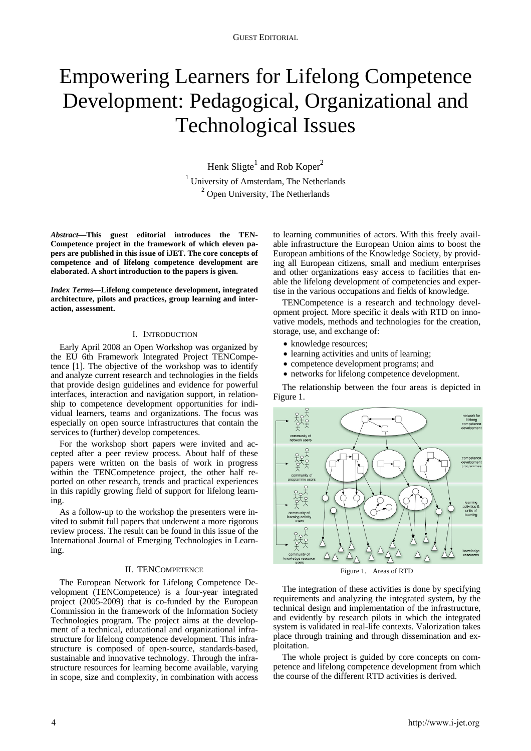# Empowering Learners for Lifelong Competence Development: Pedagogical, Organizational and Technological Issues

Henk Sligte<sup>1</sup> and Rob Koper<sup>2</sup> Henk Sligte<sup>1</sup> and Rob Koper<sup>2</sup><br><sup>1</sup> University of Amsterdam, The Netherlands <sup>2</sup> Open University, The Netherlands

*Abstract***—This guest editorial introduces the TEN-Competence project in the framework of which eleven papers are published in this issue of iJET. The core concepts of competence and of lifelong competence development are elaborated. A short introduction to the papers is given.** 

*Index Terms***—Lifelong competence development, integrated architecture, pilots and practices, group learning and interaction, assessment.** 

# I. INTRODUCTION

Early April 2008 an Open Workshop was organized by the EU 6th Framework Integrated Project TENCompetence [1]. The objective of the workshop was to identify and analyze current research and technologies in the fields that provide design guidelines and evidence for powerful interfaces, interaction and navigation support, in relationship to competence development opportunities for individual learners, teams and organizations. The focus was especially on open source infrastructures that contain the services to (further) develop competences.

For the workshop short papers were invited and accepted after a peer review process. About half of these papers were written on the basis of work in progress within the TENCompetence project, the other half reported on other research, trends and practical experiences in this rapidly growing field of support for lifelong learning.

As a follow-up to the workshop the presenters were invited to submit full papers that underwent a more rigorous review process. The result can be found in this issue of the International Journal of Emerging Technologies in Learning.

# II. TENCOMPETENCE

The European Network for Lifelong Competence Development (TENCompetence) is a four-year integrated project (2005-2009) that is co-funded by the European Commission in the framework of the Information Society Technologies program. The project aims at the development of a technical, educational and organizational infrastructure for lifelong competence development. This infrastructure is composed of open-source, standards-based, sustainable and innovative technology. Through the infrastructure resources for learning become available, varying in scope, size and complexity, in combination with access to learning communities of actors. With this freely available infrastructure the European Union aims to boost the European ambitions of the Knowledge Society, by providing all European citizens, small and medium enterprises and other organizations easy access to facilities that enable the lifelong development of competencies and expertise in the various occupations and fields of knowledge.

TENCompetence is a research and technology development project. More specific it deals with RTD on innovative models, methods and technologies for the creation, storage, use, and exchange of:

- knowledge resources;
- learning activities and units of learning;
- competence development programs; and
- networks for lifelong competence development.

The relationship between the four areas is depicted in Figure 1.



Figure 1. Areas of RTD

The integration of these activities is done by specifying requirements and analyzing the integrated system, by the technical design and implementation of the infrastructure, and evidently by research pilots in which the integrated system is validated in real-life contexts. Valorization takes place through training and through dissemination and exploitation.

The whole project is guided by core concepts on competence and lifelong competence development from which the course of the different RTD activities is derived.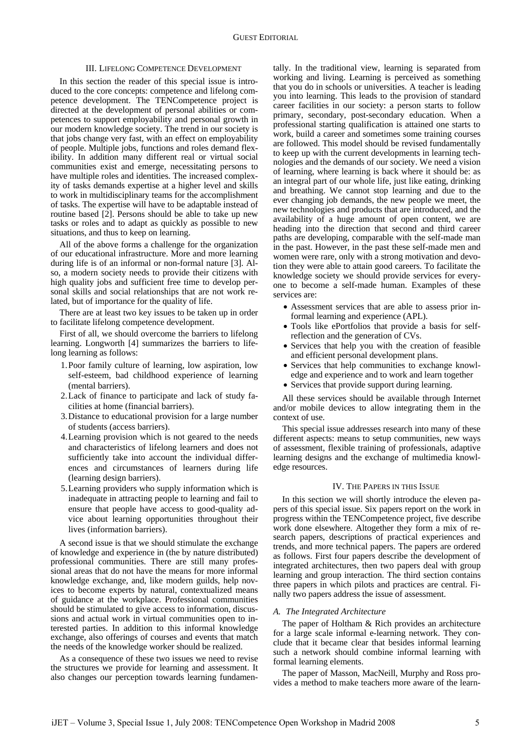# III. LIFELONG COMPETENCE DEVELOPMENT

In this section the reader of this special issue is introduced to the core concepts: competence and lifelong competence development. The TENCompetence project is directed at the development of personal abilities or competences to support employability and personal growth in our modern knowledge society. The trend in our society is that jobs change very fast, with an effect on employability of people. Multiple jobs, functions and roles demand flexibility. In addition many different real or virtual social communities exist and emerge, necessitating persons to have multiple roles and identities. The increased complexity of tasks demands expertise at a higher level and skills to work in multidisciplinary teams for the accomplishment of tasks. The expertise will have to be adaptable instead of routine based [2]. Persons should be able to take up new tasks or roles and to adapt as quickly as possible to new situations, and thus to keep on learning.

All of the above forms a challenge for the organization of our educational infrastructure. More and more learning during life is of an informal or non-formal nature [3]. Also, a modern society needs to provide their citizens with high quality jobs and sufficient free time to develop personal skills and social relationships that are not work related, but of importance for the quality of life.

There are at least two key issues to be taken up in order to facilitate lifelong competence development.

First of all, we should overcome the barriers to lifelong learning. Longworth [4] summarizes the barriers to lifelong learning as follows:

- 1.Poor family culture of learning, low aspiration, low self-esteem, bad childhood experience of learning (mental barriers).
- 2.Lack of finance to participate and lack of study facilities at home (financial barriers).
- 3.Distance to educational provision for a large number of students (access barriers).
- 4.Learning provision which is not geared to the needs and characteristics of lifelong learners and does not sufficiently take into account the individual differences and circumstances of learners during life (learning design barriers).
- 5.Learning providers who supply information which is inadequate in attracting people to learning and fail to ensure that people have access to good-quality advice about learning opportunities throughout their lives (information barriers).

A second issue is that we should stimulate the exchange of knowledge and experience in (the by nature distributed) professional communities. There are still many professional areas that do not have the means for more informal knowledge exchange, and, like modern guilds, help novices to become experts by natural, contextualized means of guidance at the workplace. Professional communities should be stimulated to give access to information, discussions and actual work in virtual communities open to interested parties. In addition to this informal knowledge exchange, also offerings of courses and events that match the needs of the knowledge worker should be realized.

As a consequence of these two issues we need to revise the structures we provide for learning and assessment. It also changes our perception towards learning fundamentally. In the traditional view, learning is separated from working and living. Learning is perceived as something that you do in schools or universities. A teacher is leading you into learning. This leads to the provision of standard career facilities in our society: a person starts to follow primary, secondary, post-secondary education. When a professional starting qualification is attained one starts to work, build a career and sometimes some training courses are followed. This model should be revised fundamentally to keep up with the current developments in learning technologies and the demands of our society. We need a vision of learning, where learning is back where it should be: as an integral part of our whole life, just like eating, drinking and breathing. We cannot stop learning and due to the ever changing job demands, the new people we meet, the new technologies and products that are introduced, and the availability of a huge amount of open content, we are heading into the direction that second and third career paths are developing, comparable with the self-made man in the past. However, in the past these self-made men and women were rare, only with a strong motivation and devotion they were able to attain good careers. To facilitate the knowledge society we should provide services for everyone to become a self-made human. Examples of these services are:

- Assessment services that are able to assess prior informal learning and experience (APL).
- Tools like ePortfolios that provide a basis for selfreflection and the generation of CVs.
- Services that help you with the creation of feasible and efficient personal development plans.
- Services that help communities to exchange knowledge and experience and to work and learn together
- Services that provide support during learning.

All these services should be available through Internet and/or mobile devices to allow integrating them in the context of use.

This special issue addresses research into many of these different aspects: means to setup communities, new ways of assessment, flexible training of professionals, adaptive learning designs and the exchange of multimedia knowledge resources.

# IV. THE PAPERS IN THIS ISSUE

In this section we will shortly introduce the eleven papers of this special issue. Six papers report on the work in progress within the TENCompetence project, five describe work done elsewhere. Altogether they form a mix of research papers, descriptions of practical experiences and trends, and more technical papers. The papers are ordered as follows. First four papers describe the development of integrated architectures, then two papers deal with group learning and group interaction. The third section contains three papers in which pilots and practices are central. Finally two papers address the issue of assessment.

# *A. The Integrated Architecture*

The paper of Holtham & Rich provides an architecture for a large scale informal e-learning network. They conclude that it became clear that besides informal learning such a network should combine informal learning with formal learning elements.

The paper of Masson, MacNeill, Murphy and Ross provides a method to make teachers more aware of the learn